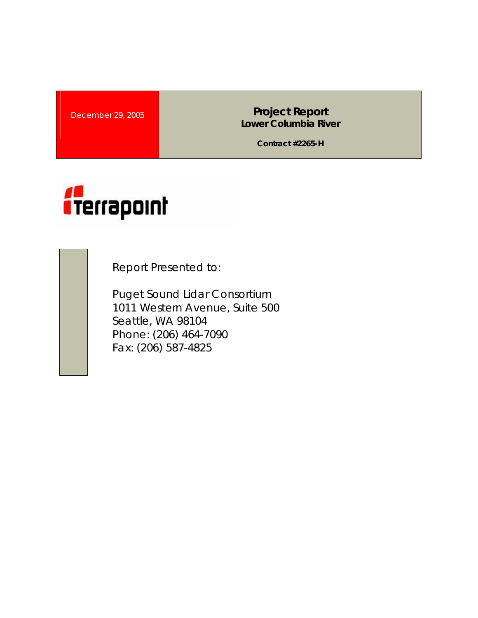**December 29, 2005 Lower Columbia River** 

**Contract #2265-H** 



Report Presented to:

Puget Sound Lidar Consortium 1011 Western Avenue, Suite 500 Seattle, WA 98104 Phone: (206) 464-7090 Fax: (206) 587-4825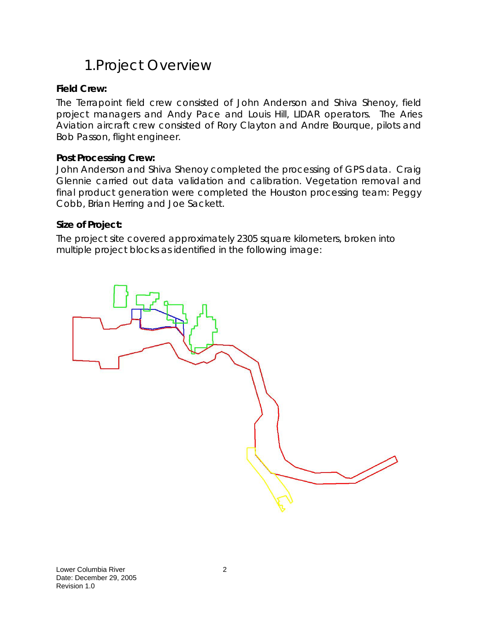# 1.Project Overview

### **Field Crew:**

The Terrapoint field crew consisted of John Anderson and Shiva Shenoy, field project managers and Andy Pace and Louis Hill, LIDAR operators. The Aries Aviation aircraft crew consisted of Rory Clayton and Andre Bourque, pilots and Bob Passon, flight engineer.

### **Post Processing Crew:**

John Anderson and Shiva Shenoy completed the processing of GPS data. Craig Glennie carried out data validation and calibration. Vegetation removal and final product generation were completed the Houston processing team: Peggy Cobb, Brian Herring and Joe Sackett.

### **Size of Project:**

The project site covered approximately 2305 square kilometers, broken into multiple project blocks as identified in the following image:

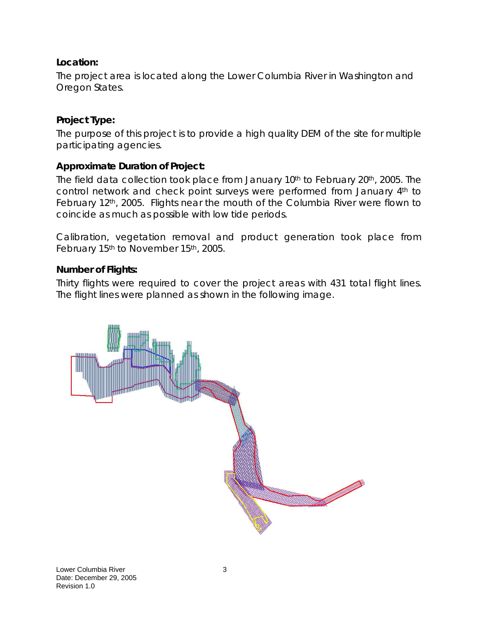## **Location:**

The project area is located along the Lower Columbia River in Washington and Oregon States.

### **Project Type:**

The purpose of this project is to provide a high quality DEM of the site for multiple participating agencies.

### **Approximate Duration of Project:**

The field data collection took place from January 10<sup>th</sup> to February 20<sup>th</sup>, 2005. The control network and check point surveys were performed from January 4<sup>th</sup> to February 12<sup>th</sup>, 2005. Flights near the mouth of the Columbia River were flown to coincide as much as possible with low tide periods.

Calibration, vegetation removal and product generation took place from February 15<sup>th</sup> to November 15<sup>th</sup>, 2005.

### **Number of Flights:**

Thirty flights were required to cover the project areas with 431 total flight lines. The flight lines were planned as shown in the following image.

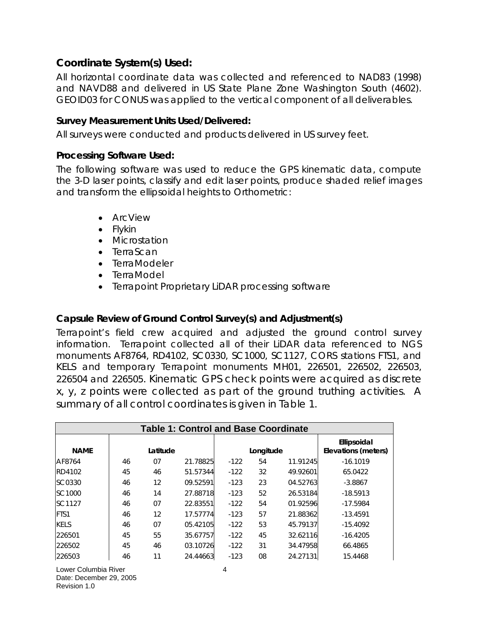## **Coordinate System(s) Used:**

All horizontal coordinate data was collected and referenced to NAD83 (1998) and NAVD88 and delivered in US State Plane Zone Washington South (4602). GEOID03 for CONUS was applied to the vertical component of all deliverables.

### **Survey Measurement Units Used/Delivered:**

All surveys were conducted and products delivered in US survey feet.

### **Processing Software Used:**

The following software was used to reduce the GPS kinematic data, compute the 3-D laser points, classify and edit laser points, produce shaded relief images and transform the ellipsoidal heights to Orthometric:

- ArcView
- Flykin
- Microstation
- TerraScan
- TerraModeler
- TerraModel
- Terrapoint Proprietary LiDAR processing software

## **Capsule Review of Ground Control Survey(s) and Adjustment(s)**

Terrapoint's field crew acquired and adjusted the ground control survey information. Terrapoint collected all of their LiDAR data referenced to NGS monuments AF8764, RD4102, SC0330, SC1000, SC1127, CORS stations FTS1, and KELS and temporary Terrapoint monuments MH01, 226501, 226502, 226503, 226504 and 226505. Kinematic GPS check points were acquired as discrete x, y, z points were collected as part of the ground truthing activities. A summary of all control coordinates is given in Table 1.

| <b>Table 1: Control and Base Coordinate</b> |    |          |          |        |           |          |                                    |
|---------------------------------------------|----|----------|----------|--------|-----------|----------|------------------------------------|
| <b>NAME</b>                                 |    | Latitude |          |        | Longitude |          | Ellipsoidal<br>Elevations (meters) |
| AF8764                                      | 46 | 07       | 21.78825 | $-122$ | 54        | 11.91245 | $-16.1019$                         |
| RD4102                                      | 45 | 46       | 51.57344 | $-122$ | 32        | 49.92601 | 65.0422                            |
| SC0330                                      | 46 | 12       | 09.52591 | $-123$ | 23        | 04.52763 | $-3.8867$                          |
| SC <sub>1000</sub>                          | 46 | 14       | 27.88718 | $-123$ | 52        | 26.53184 | $-18.5913$                         |
| SC1127                                      | 46 | 07       | 22.83551 | $-122$ | 54        | 01.92596 | $-17.5984$                         |
| <b>FTS1</b>                                 | 46 | 12       | 17.57774 | $-123$ | 57        | 21.88362 | $-13.4591$                         |
| <b>KELS</b>                                 | 46 | 07       | 05.42105 | $-122$ | 53        | 45.79137 | $-15.4092$                         |
| 226501                                      | 45 | 55       | 35.67757 | $-122$ | 45        | 32.62116 | $-16.4205$                         |
| 226502                                      | 45 | 46       | 03.10726 | $-122$ | 31        | 34.47958 | 66.4865                            |
| 226503                                      | 46 | 11       | 24.44663 | $-123$ | 08        | 24.27131 | 15.4468                            |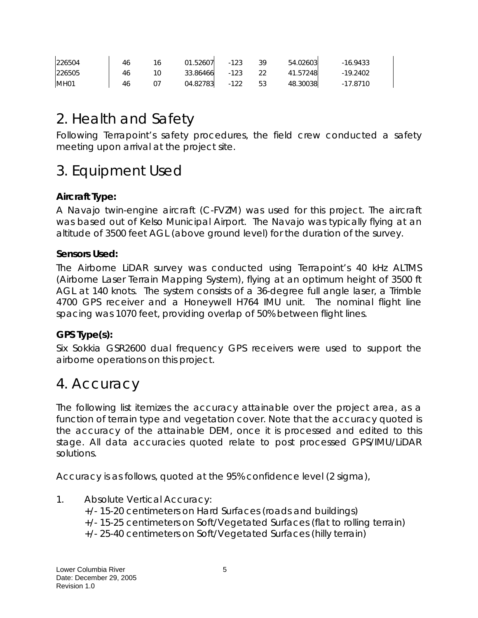| 226504           | 46 | 01.52607 | $-123$ | -30 | 54.02603 | $-16.9433$ |
|------------------|----|----------|--------|-----|----------|------------|
| 226505           | 46 | 33.86466 | -123   | -22 | 41.57248 | $-19.2402$ |
| MH <sub>01</sub> | 46 | 04.82783 | $-122$ | 53  | 48.30038 | -17.8710   |

# 2. Health and Safety

Following Terrapoint's safety procedures, the field crew conducted a safety meeting upon arrival at the project site.

# 3. Equipment Used

## **Aircraft Type:**

A Navajo twin-engine aircraft (C-FVZM) was used for this project. The aircraft was based out of Kelso Municipal Airport. The Navajo was typically flying at an altitude of 3500 feet AGL (above ground level) for the duration of the survey.

### **Sensors Used:**

The Airborne LiDAR survey was conducted using Terrapoint's 40 kHz ALTMS (Airborne Laser Terrain Mapping System), flying at an optimum height of 3500 ft AGL at 140 knots. The system consists of a 36-degree full angle laser, a Trimble 4700 GPS receiver and a Honeywell H764 IMU unit. The nominal flight line spacing was 1070 feet, providing overlap of 50% between flight lines.

## **GPS Type(s):**

Six Sokkia GSR2600 dual frequency GPS receivers were used to support the airborne operations on this project.

# 4. Accuracy

The following list itemizes the accuracy attainable over the project area, as a function of terrain type and vegetation cover. Note that the accuracy quoted is the accuracy of the attainable DEM, once it is processed and edited to this stage. All data accuracies quoted relate to post processed GPS/IMU/LiDAR solutions.

Accuracy is as follows, quoted at the 95% confidence level (2 sigma),

- 1. Absolute Vertical Accuracy:
	- +/- 15-20 centimeters on Hard Surfaces (roads and buildings)
	- +/- 15-25 centimeters on Soft/Vegetated Surfaces (flat to rolling terrain)
	- +/- 25-40 centimeters on Soft/Vegetated Surfaces (hilly terrain)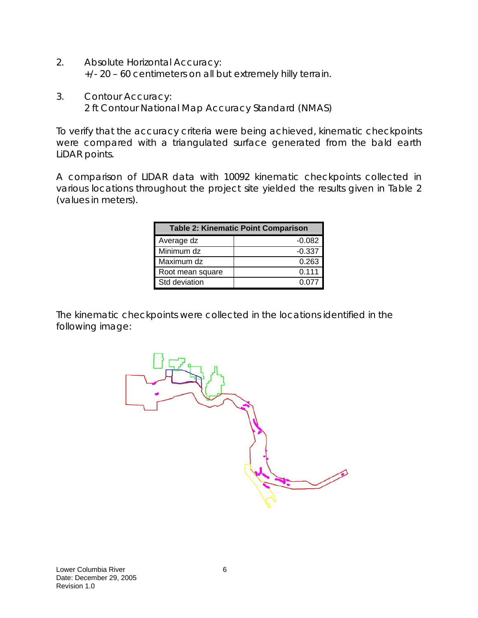- 2. Absolute Horizontal Accuracy: +/- 20 – 60 centimeters on all but extremely hilly terrain.
- 3. Contour Accuracy: 2 ft Contour National Map Accuracy Standard (NMAS)

To verify that the accuracy criteria were being achieved, kinematic checkpoints were compared with a triangulated surface generated from the bald earth LiDAR points.

A comparison of LIDAR data with 10092 kinematic checkpoints collected in various locations throughout the project site yielded the results given in Table 2 (values in meters).

| <b>Table 2: Kinematic Point Comparison</b> |              |  |  |  |  |
|--------------------------------------------|--------------|--|--|--|--|
| Average dz                                 | $-0.082$     |  |  |  |  |
| Minimum dz                                 | $-0.337$     |  |  |  |  |
| Maximum dz                                 | 0.263        |  |  |  |  |
| Root mean square                           | 0.111        |  |  |  |  |
| Std deviation                              | <u>በ በ77</u> |  |  |  |  |

The kinematic checkpoints were collected in the locations identified in the following image:

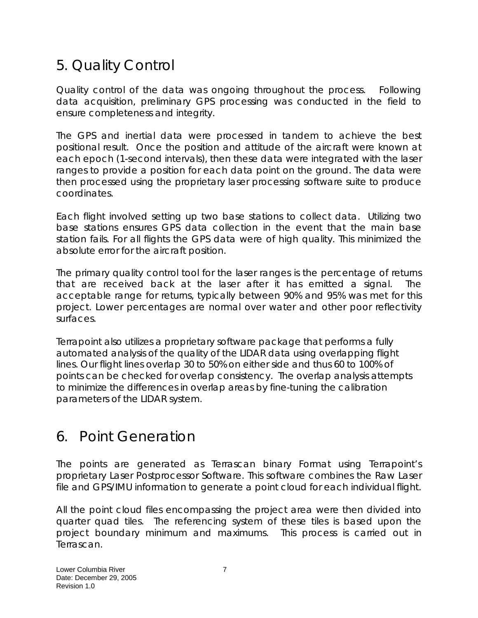# 5. Quality Control

Quality control of the data was ongoing throughout the process. Following data acquisition, preliminary GPS processing was conducted in the field to ensure completeness and integrity.

The GPS and inertial data were processed in tandem to achieve the best positional result. Once the position and attitude of the aircraft were known at each epoch (1-second intervals), then these data were integrated with the laser ranges to provide a position for each data point on the ground. The data were then processed using the proprietary laser processing software suite to produce coordinates.

Each flight involved setting up two base stations to collect data. Utilizing two base stations ensures GPS data collection in the event that the main base station fails. For all flights the GPS data were of high quality. This minimized the absolute error for the aircraft position.

The primary quality control tool for the laser ranges is the percentage of returns that are received back at the laser after it has emitted a signal. The acceptable range for returns, typically between 90% and 95% was met for this project. Lower percentages are normal over water and other poor reflectivity surfaces.

Terrapoint also utilizes a proprietary software package that performs a fully automated analysis of the quality of the LIDAR data using overlapping flight lines. Our flight lines overlap 30 to 50% on either side and thus 60 to 100% of points can be checked for overlap consistency. The overlap analysis attempts to minimize the differences in overlap areas by fine-tuning the calibration parameters of the LIDAR system.

# 6. Point Generation

The points are generated as Terrascan binary Format using Terrapoint's proprietary Laser Postprocessor Software. This software combines the Raw Laser file and GPS/IMU information to generate a point cloud for each individual flight.

All the point cloud files encompassing the project area were then divided into quarter quad tiles. The referencing system of these tiles is based upon the project boundary minimum and maximums. This process is carried out in Terrascan.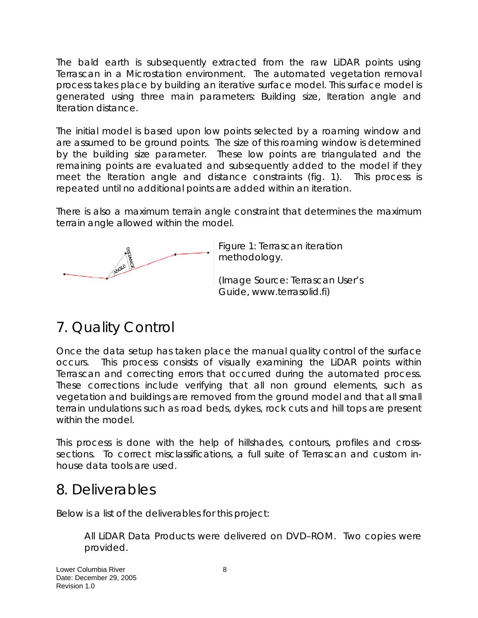The bald earth is subsequently extracted from the raw LiDAR points using Terrascan in a Microstation environment. The automated vegetation removal process takes place by building an iterative surface model. This surface model is generated using three main parameters: Building size, Iteration angle and Iteration distance.

The initial model is based upon low points selected by a roaming window and are assumed to be ground points. The size of this roaming window is determined by the building size parameter. These low points are triangulated and the remaining points are evaluated and subsequently added to the model if they meet the Iteration angle and distance constraints (fig. 1). This process is repeated until no additional points are added within an iteration.

There is also a maximum terrain angle constraint that determines the maximum terrain angle allowed within the model.



Figure 1: Terrascan iteration methodology.

(Image Source: Terrascan User's Guide, www.terrasolid.fi)

# 7. Quality Control

Once the data setup has taken place the manual quality control of the surface occurs. This process consists of visually examining the LiDAR points within Terrascan and correcting errors that occurred during the automated process. These corrections include verifying that all non ground elements, such as vegetation and buildings are removed from the ground model and that all small terrain undulations such as road beds, dykes, rock cuts and hill tops are present within the model.

This process is done with the help of hillshades, contours, profiles and crosssections. To correct misclassifications, a full suite of Terrascan and custom inhouse data tools are used.

# 8. Deliverables

Below is a list of the deliverables for this project:

All LiDAR Data Products were delivered on DVD–ROM. Two copies were provided.